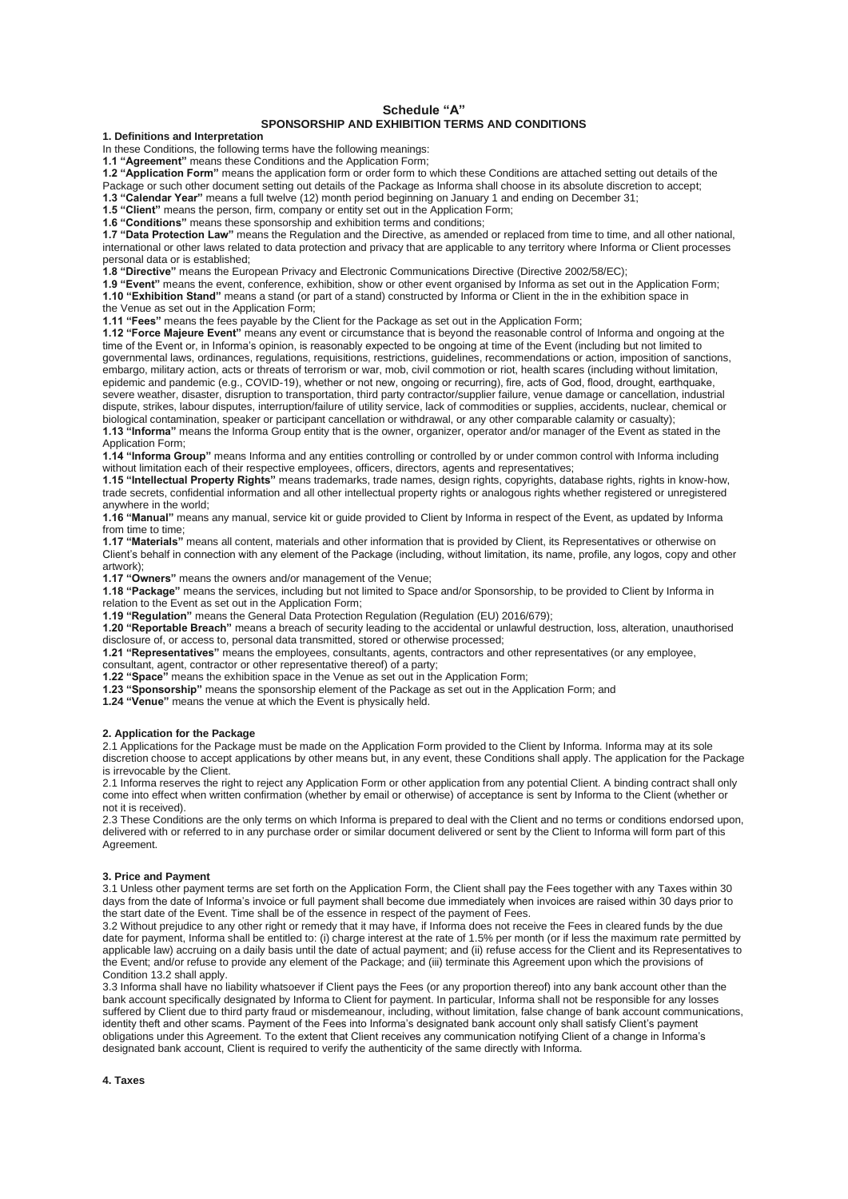# **Schedule "A"**

## **SPONSORSHIP AND EXHIBITION TERMS AND CONDITIONS**

**1. Definitions and Interpretation**

In these Conditions, the following terms have the following meanings:

**1.1 "Agreement"** means these Conditions and the Application Form;

**1.2 "Application Form"** means the application form or order form to which these Conditions are attached setting out details of the Package or such other document setting out details of the Package as Informa shall choose in its absolute discretion to accept;

**1.3 "Calendar Year"** means a full twelve (12) month period beginning on January 1 and ending on December 31;

**1.5 "Client"** means the person, firm, company or entity set out in the Application Form;

**1.6 "Conditions"** means these sponsorship and exhibition terms and conditions;

**1.7 "Data Protection Law"** means the Regulation and the Directive, as amended or replaced from time to time, and all other national, international or other laws related to data protection and privacy that are applicable to any territory where Informa or Client processes personal data or is established;

**1.8 "Directive"** means the European Privacy and Electronic Communications Directive (Directive 2002/58/EC);

**1.9 "Event"** means the event, conference, exhibition, show or other event organised by Informa as set out in the Application Form; **1.10 "Exhibition Stand"** means a stand (or part of a stand) constructed by Informa or Client in the in the exhibition space in

the Venue as set out in the Application Form;

**1.11 "Fees"** means the fees payable by the Client for the Package as set out in the Application Form;

**1.12 "Force Majeure Event"** means any event or circumstance that is beyond the reasonable control of Informa and ongoing at the time of the Event or, in Informa's opinion, is reasonably expected to be ongoing at time of the Event (including but not limited to governmental laws, ordinances, regulations, requisitions, restrictions, guidelines, recommendations or action, imposition of sanctions, embargo, military action, acts or threats of terrorism or war, mob, civil commotion or riot, health scares (including without limitation, epidemic and pandemic (e.g., COVID-19), whether or not new, ongoing or recurring), fire, acts of God, flood, drought, earthquake, severe weather, disaster, disruption to transportation, third party contractor/supplier failure, venue damage or cancellation, industrial dispute, strikes, labour disputes, interruption/failure of utility service, lack of commodities or supplies, accidents, nuclear, chemical or biological contamination, speaker or participant cancellation or withdrawal, or any other comparable calamity or casualty);

**1.13 "Informa"** means the Informa Group entity that is the owner, organizer, operator and/or manager of the Event as stated in the Application Form;

**1.14 "Informa Group"** means Informa and any entities controlling or controlled by or under common control with Informa including without limitation each of their respective employees, officers, directors, agents and representatives;

**1.15 "Intellectual Property Rights"** means trademarks, trade names, design rights, copyrights, database rights, rights in know-how, trade secrets, confidential information and all other intellectual property rights or analogous rights whether registered or unregistered anywhere in the world;

**1.16 "Manual"** means any manual, service kit or guide provided to Client by Informa in respect of the Event, as updated by Informa from time to time;

**1.17 "Materials"** means all content, materials and other information that is provided by Client, its Representatives or otherwise on

Client's behalf in connection with any element of the Package (including, without limitation, its name, profile, any logos, copy and other artwork);

**1.17 "Owners"** means the owners and/or management of the Venue;

**1.18 "Package"** means the services, including but not limited to Space and/or Sponsorship, to be provided to Client by Informa in relation to the Event as set out in the Application Form;

**1.19 "Regulation"** means the General Data Protection Regulation (Regulation (EU) 2016/679);

**1.20 "Reportable Breach"** means a breach of security leading to the accidental or unlawful destruction, loss, alteration, unauthorised disclosure of, or access to, personal data transmitted, stored or otherwise processed;

**1.21 "Representatives"** means the employees, consultants, agents, contractors and other representatives (or any employee,

consultant, agent, contractor or other representative thereof) of a party;

**1.22 "Space"** means the exhibition space in the Venue as set out in the Application Form;

**1.23 "Sponsorship"** means the sponsorship element of the Package as set out in the Application Form; and

**1.24 "Venue"** means the venue at which the Event is physically held.

#### **2. Application for the Package**

2.1 Applications for the Package must be made on the Application Form provided to the Client by Informa. Informa may at its sole discretion choose to accept applications by other means but, in any event, these Conditions shall apply. The application for the Package is irrevocable by the Client.

2.1 Informa reserves the right to reject any Application Form or other application from any potential Client. A binding contract shall only come into effect when written confirmation (whether by email or otherwise) of acceptance is sent by Informa to the Client (whether or not it is received).

2.3 These Conditions are the only terms on which Informa is prepared to deal with the Client and no terms or conditions endorsed upon, delivered with or referred to in any purchase order or similar document delivered or sent by the Client to Informa will form part of this Agreement.

#### **3. Price and Payment**

3.1 Unless other payment terms are set forth on the Application Form, the Client shall pay the Fees together with any Taxes within 30 days from the date of Informa's invoice or full payment shall become due immediately when invoices are raised within 30 days prior to the start date of the Event. Time shall be of the essence in respect of the payment of Fees.

3.2 Without prejudice to any other right or remedy that it may have, if Informa does not receive the Fees in cleared funds by the due date for payment, Informa shall be entitled to: (i) charge interest at the rate of 1.5% per month (or if less the maximum rate permitted by applicable law) accruing on a daily basis until the date of actual payment; and (ii) refuse access for the Client and its Representatives to the Event; and/or refuse to provide any element of the Package; and (iii) terminate this Agreement upon which the provisions of Condition 13.2 shall apply.

3.3 Informa shall have no liability whatsoever if Client pays the Fees (or any proportion thereof) into any bank account other than the bank account specifically designated by Informa to Client for payment. In particular, Informa shall not be responsible for any losses suffered by Client due to third party fraud or misdemeanour, including, without limitation, false change of bank account communications, identity theft and other scams. Payment of the Fees into Informa's designated bank account only shall satisfy Client's payment obligations under this Agreement. To the extent that Client receives any communication notifying Client of a change in Informa's designated bank account, Client is required to verify the authenticity of the same directly with Informa.

**4. Taxes**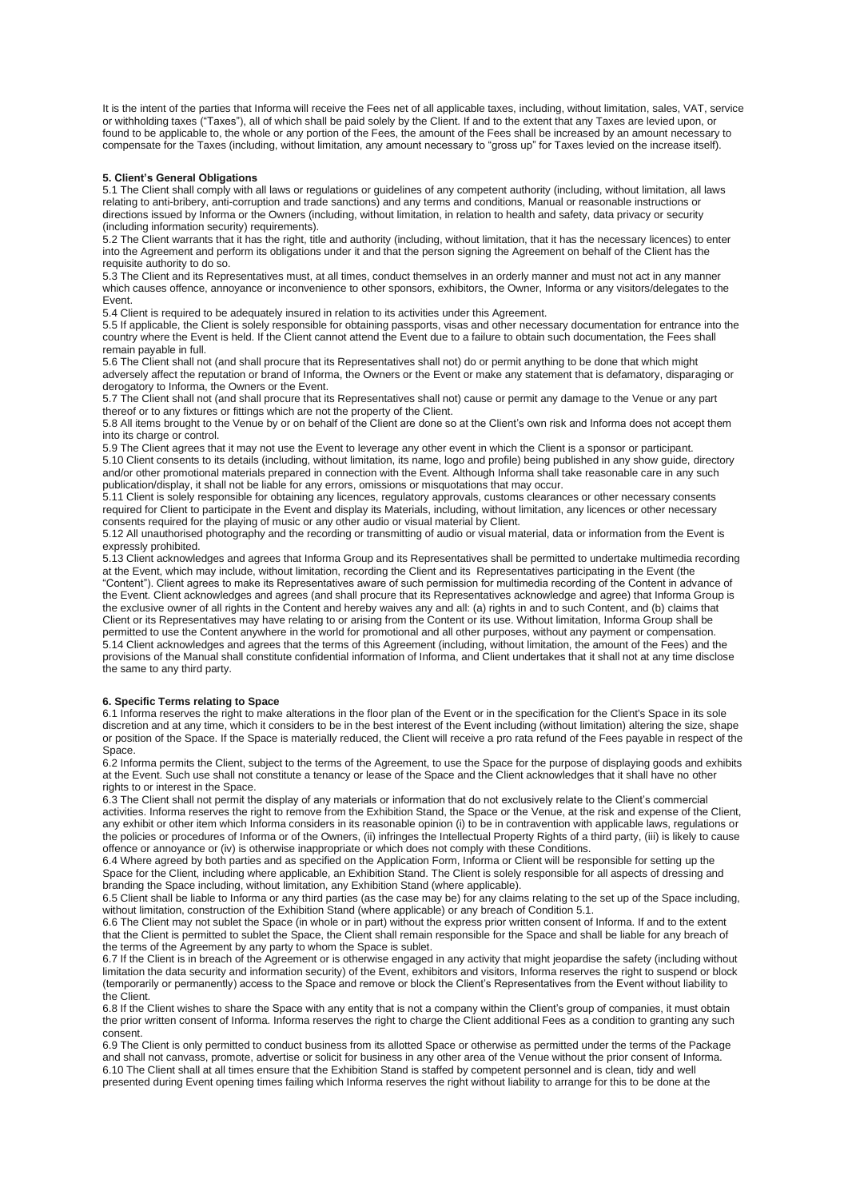It is the intent of the parties that Informa will receive the Fees net of all applicable taxes, including, without limitation, sales, VAT, service or withholding taxes ("Taxes"), all of which shall be paid solely by the Client. If and to the extent that any Taxes are levied upon, or found to be applicable to, the whole or any portion of the Fees, the amount of the Fees shall be increased by an amount necessary to compensate for the Taxes (including, without limitation, any amount necessary to "gross up" for Taxes levied on the increase itself).

# **5. Client's General Obligations**

5.1 The Client shall comply with all laws or regulations or guidelines of any competent authority (including, without limitation, all laws relating to anti-bribery, anti-corruption and trade sanctions) and any terms and conditions, Manual or reasonable instructions or directions issued by Informa or the Owners (including, without limitation, in relation to health and safety, data privacy or security (including information security) requirements).

5.2 The Client warrants that it has the right, title and authority (including, without limitation, that it has the necessary licences) to enter into the Agreement and perform its obligations under it and that the person signing the Agreement on behalf of the Client has the requisite authority to do so.

5.3 The Client and its Representatives must, at all times, conduct themselves in an orderly manner and must not act in any manner which causes offence, annoyance or inconvenience to other sponsors, exhibitors, the Owner, Informa or any visitors/delegates to the Event.

5.4 Client is required to be adequately insured in relation to its activities under this Agreement.

5.5 If applicable, the Client is solely responsible for obtaining passports, visas and other necessary documentation for entrance into the country where the Event is held. If the Client cannot attend the Event due to a failure to obtain such documentation, the Fees shall remain payable in full.

5.6 The Client shall not (and shall procure that its Representatives shall not) do or permit anything to be done that which might adversely affect the reputation or brand of Informa, the Owners or the Event or make any statement that is defamatory, disparaging or derogatory to Informa, the Owners or the Event.

5.7 The Client shall not (and shall procure that its Representatives shall not) cause or permit any damage to the Venue or any part thereof or to any fixtures or fittings which are not the property of the Client.

5.8 All items brought to the Venue by or on behalf of the Client are done so at the Client's own risk and Informa does not accept them into its charge or control.

5.9 The Client agrees that it may not use the Event to leverage any other event in which the Client is a sponsor or participant. 5.10 Client consents to its details (including, without limitation, its name, logo and profile) being published in any show guide, directory and/or other promotional materials prepared in connection with the Event. Although Informa shall take reasonable care in any such publication/display, it shall not be liable for any errors, omissions or misquotations that may occur.

5.11 Client is solely responsible for obtaining any licences, regulatory approvals, customs clearances or other necessary consents required for Client to participate in the Event and display its Materials, including, without limitation, any licences or other necessary consents required for the playing of music or any other audio or visual material by Client.

5.12 All unauthorised photography and the recording or transmitting of audio or visual material, data or information from the Event is expressly prohibited.

5.13 Client acknowledges and agrees that Informa Group and its Representatives shall be permitted to undertake multimedia recording at the Event, which may include, without limitation, recording the Client and its Representatives participating in the Event (the "Content"). Client agrees to make its Representatives aware of such permission for multimedia recording of the Content in advance of the Event. Client acknowledges and agrees (and shall procure that its Representatives acknowledge and agree) that Informa Group is the exclusive owner of all rights in the Content and hereby waives any and all: (a) rights in and to such Content, and (b) claims that Client or its Representatives may have relating to or arising from the Content or its use. Without limitation, Informa Group shall be permitted to use the Content anywhere in the world for promotional and all other purposes, without any payment or compensation. 5.14 Client acknowledges and agrees that the terms of this Agreement (including, without limitation, the amount of the Fees) and the provisions of the Manual shall constitute confidential information of Informa, and Client undertakes that it shall not at any time disclose the same to any third party.

## **6. Specific Terms relating to Space**

6.1 Informa reserves the right to make alterations in the floor plan of the Event or in the specification for the Client's Space in its sole discretion and at any time, which it considers to be in the best interest of the Event including (without limitation) altering the size, shape or position of the Space. If the Space is materially reduced, the Client will receive a pro rata refund of the Fees payable in respect of the Space.

6.2 Informa permits the Client, subject to the terms of the Agreement, to use the Space for the purpose of displaying goods and exhibits at the Event. Such use shall not constitute a tenancy or lease of the Space and the Client acknowledges that it shall have no other rights to or interest in the Space.

6.3 The Client shall not permit the display of any materials or information that do not exclusively relate to the Client's commercial activities. Informa reserves the right to remove from the Exhibition Stand, the Space or the Venue, at the risk and expense of the Client, any exhibit or other item which Informa considers in its reasonable opinion (i) to be in contravention with applicable laws, regulations or the policies or procedures of Informa or of the Owners, (ii) infringes the Intellectual Property Rights of a third party, (iii) is likely to cause offence or annoyance or (iv) is otherwise inappropriate or which does not comply with these Conditions.

6.4 Where agreed by both parties and as specified on the Application Form, Informa or Client will be responsible for setting up the Space for the Client, including where applicable, an Exhibition Stand. The Client is solely responsible for all aspects of dressing and branding the Space including, without limitation, any Exhibition Stand (where applicable).

6.5 Client shall be liable to Informa or any third parties (as the case may be) for any claims relating to the set up of the Space including, without limitation, construction of the Exhibition Stand (where applicable) or any breach of Condition 5.1.

6.6 The Client may not sublet the Space (in whole or in part) without the express prior written consent of Informa. If and to the extent that the Client is permitted to sublet the Space, the Client shall remain responsible for the Space and shall be liable for any breach of the terms of the Agreement by any party to whom the Space is sublet.

6.7 If the Client is in breach of the Agreement or is otherwise engaged in any activity that might jeopardise the safety (including without limitation the data security and information security) of the Event, exhibitors and visitors, Informa reserves the right to suspend or block (temporarily or permanently) access to the Space and remove or block the Client's Representatives from the Event without liability to the Client.

6.8 If the Client wishes to share the Space with any entity that is not a company within the Client's group of companies, it must obtain the prior written consent of Informa. Informa reserves the right to charge the Client additional Fees as a condition to granting any such consent.

6.9 The Client is only permitted to conduct business from its allotted Space or otherwise as permitted under the terms of the Package and shall not canvass, promote, advertise or solicit for business in any other area of the Venue without the prior consent of Informa. 6.10 The Client shall at all times ensure that the Exhibition Stand is staffed by competent personnel and is clean, tidy and well presented during Event opening times failing which Informa reserves the right without liability to arrange for this to be done at the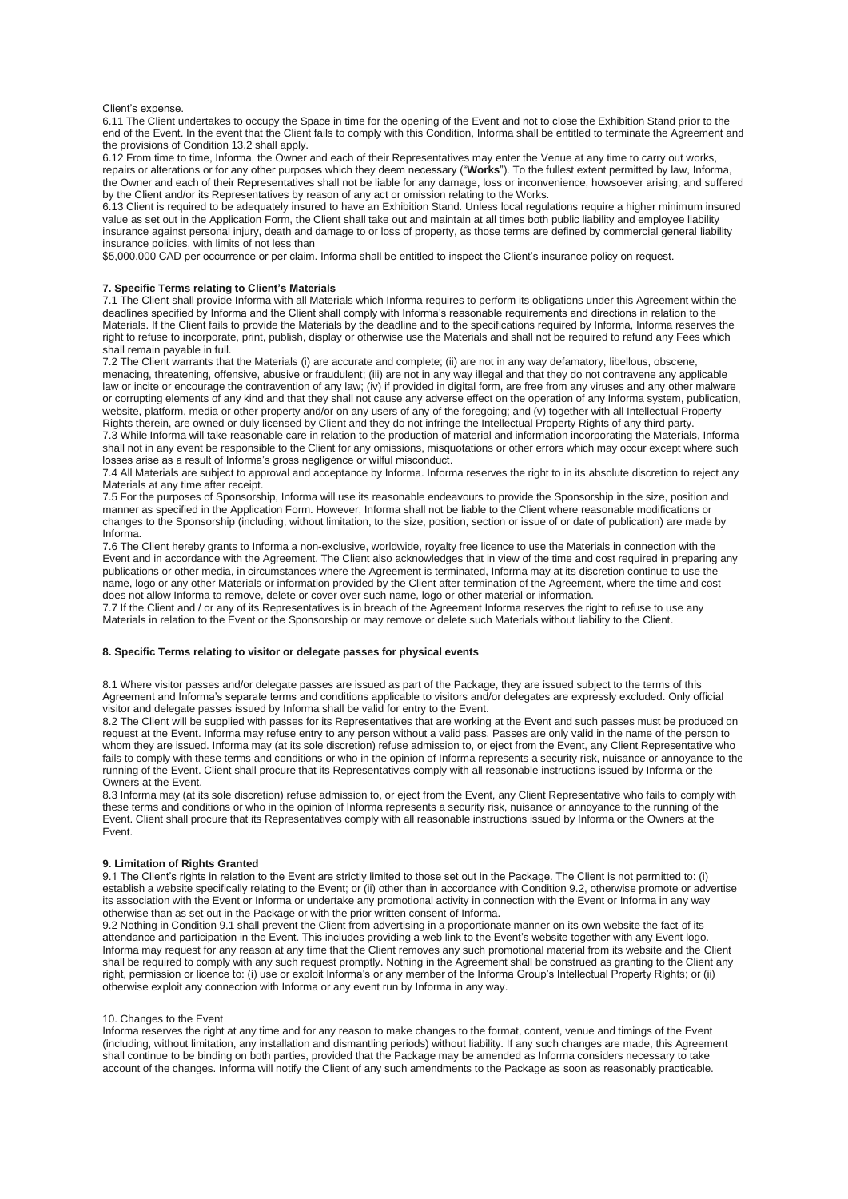### Client's expense.

6.11 The Client undertakes to occupy the Space in time for the opening of the Event and not to close the Exhibition Stand prior to the end of the Event. In the event that the Client fails to comply with this Condition, Informa shall be entitled to terminate the Agreement and the provisions of Condition 13.2 shall apply.

6.12 From time to time, Informa, the Owner and each of their Representatives may enter the Venue at any time to carry out works, repairs or alterations or for any other purposes which they deem necessary ("**Works**"). To the fullest extent permitted by law, Informa, the Owner and each of their Representatives shall not be liable for any damage, loss or inconvenience, howsoever arising, and suffered by the Client and/or its Representatives by reason of any act or omission relating to the Works.

6.13 Client is required to be adequately insured to have an Exhibition Stand. Unless local regulations require a higher minimum insured value as set out in the Application Form, the Client shall take out and maintain at all times both public liability and employee liability insurance against personal injury, death and damage to or loss of property, as those terms are defined by commercial general liability insurance policies, with limits of not less than

\$5,000,000 CAD per occurrence or per claim. Informa shall be entitled to inspect the Client's insurance policy on request.

# **7. Specific Terms relating to Client's Materials**

7.1 The Client shall provide Informa with all Materials which Informa requires to perform its obligations under this Agreement within the deadlines specified by Informa and the Client shall comply with Informa's reasonable requirements and directions in relation to the Materials. If the Client fails to provide the Materials by the deadline and to the specifications required by Informa, Informa reserves the right to refuse to incorporate, print, publish, display or otherwise use the Materials and shall not be required to refund any Fees which shall remain payable in full.

7.2 The Client warrants that the Materials (i) are accurate and complete; (ii) are not in any way defamatory, libellous, obscene, menacing, threatening, offensive, abusive or fraudulent; (iii) are not in any way illegal and that they do not contravene any applicable law or incite or encourage the contravention of any law; (iv) if provided in digital form, are free from any viruses and any other malware or corrupting elements of any kind and that they shall not cause any adverse effect on the operation of any Informa system, publication, website, platform, media or other property and/or on any users of any of the foregoing; and (v) together with all Intellectual Property Rights therein, are owned or duly licensed by Client and they do not infringe the Intellectual Property Rights of any third party. 7.3 While Informa will take reasonable care in relation to the production of material and information incorporating the Materials, Informa

shall not in any event be responsible to the Client for any omissions, misquotations or other errors which may occur except where such losses arise as a result of Informa's gross negligence or wilful misconduct.

7.4 All Materials are subject to approval and acceptance by Informa. Informa reserves the right to in its absolute discretion to reject any Materials at any time after receipt.

7.5 For the purposes of Sponsorship, Informa will use its reasonable endeavours to provide the Sponsorship in the size, position and manner as specified in the Application Form. However, Informa shall not be liable to the Client where reasonable modifications or changes to the Sponsorship (including, without limitation, to the size, position, section or issue of or date of publication) are made by Informa.

7.6 The Client hereby grants to Informa a non-exclusive, worldwide, royalty free licence to use the Materials in connection with the Event and in accordance with the Agreement. The Client also acknowledges that in view of the time and cost required in preparing any publications or other media, in circumstances where the Agreement is terminated, Informa may at its discretion continue to use the name, logo or any other Materials or information provided by the Client after termination of the Agreement, where the time and cost does not allow Informa to remove, delete or cover over such name, logo or other material or information.

7.7 If the Client and / or any of its Representatives is in breach of the Agreement Informa reserves the right to refuse to use any Materials in relation to the Event or the Sponsorship or may remove or delete such Materials without liability to the Client.

## **8. Specific Terms relating to visitor or delegate passes for physical events**

8.1 Where visitor passes and/or delegate passes are issued as part of the Package, they are issued subject to the terms of this Agreement and Informa's separate terms and conditions applicable to visitors and/or delegates are expressly excluded. Only official visitor and delegate passes issued by Informa shall be valid for entry to the Event.

8.2 The Client will be supplied with passes for its Representatives that are working at the Event and such passes must be produced on request at the Event. Informa may refuse entry to any person without a valid pass. Passes are only valid in the name of the person to whom they are issued. Informa may (at its sole discretion) refuse admission to, or eject from the Event, any Client Representative who fails to comply with these terms and conditions or who in the opinion of Informa represents a security risk, nuisance or annoyance to the running of the Event. Client shall procure that its Representatives comply with all reasonable instructions issued by Informa or the Owners at the Event.

8.3 Informa may (at its sole discretion) refuse admission to, or eject from the Event, any Client Representative who fails to comply with these terms and conditions or who in the opinion of Informa represents a security risk, nuisance or annoyance to the running of the Event. Client shall procure that its Representatives comply with all reasonable instructions issued by Informa or the Owners at the Event.

## **9. Limitation of Rights Granted**

9.1 The Client's rights in relation to the Event are strictly limited to those set out in the Package. The Client is not permitted to: (i) establish a website specifically relating to the Event; or (ii) other than in accordance with Condition 9.2, otherwise promote or advertise its association with the Event or Informa or undertake any promotional activity in connection with the Event or Informa in any way otherwise than as set out in the Package or with the prior written consent of Informa.

9.2 Nothing in Condition 9.1 shall prevent the Client from advertising in a proportionate manner on its own website the fact of its attendance and participation in the Event. This includes providing a web link to the Event's website together with any Event logo. Informa may request for any reason at any time that the Client removes any such promotional material from its website and the Client shall be required to comply with any such request promptly. Nothing in the Agreement shall be construed as granting to the Client any right, permission or licence to: (i) use or exploit Informa's or any member of the Informa Group's Intellectual Property Rights; or (ii) otherwise exploit any connection with Informa or any event run by Informa in any way.

### 10. Changes to the Event

Informa reserves the right at any time and for any reason to make changes to the format, content, venue and timings of the Event (including, without limitation, any installation and dismantling periods) without liability. If any such changes are made, this Agreement shall continue to be binding on both parties, provided that the Package may be amended as Informa considers necessary to take account of the changes. Informa will notify the Client of any such amendments to the Package as soon as reasonably practicable.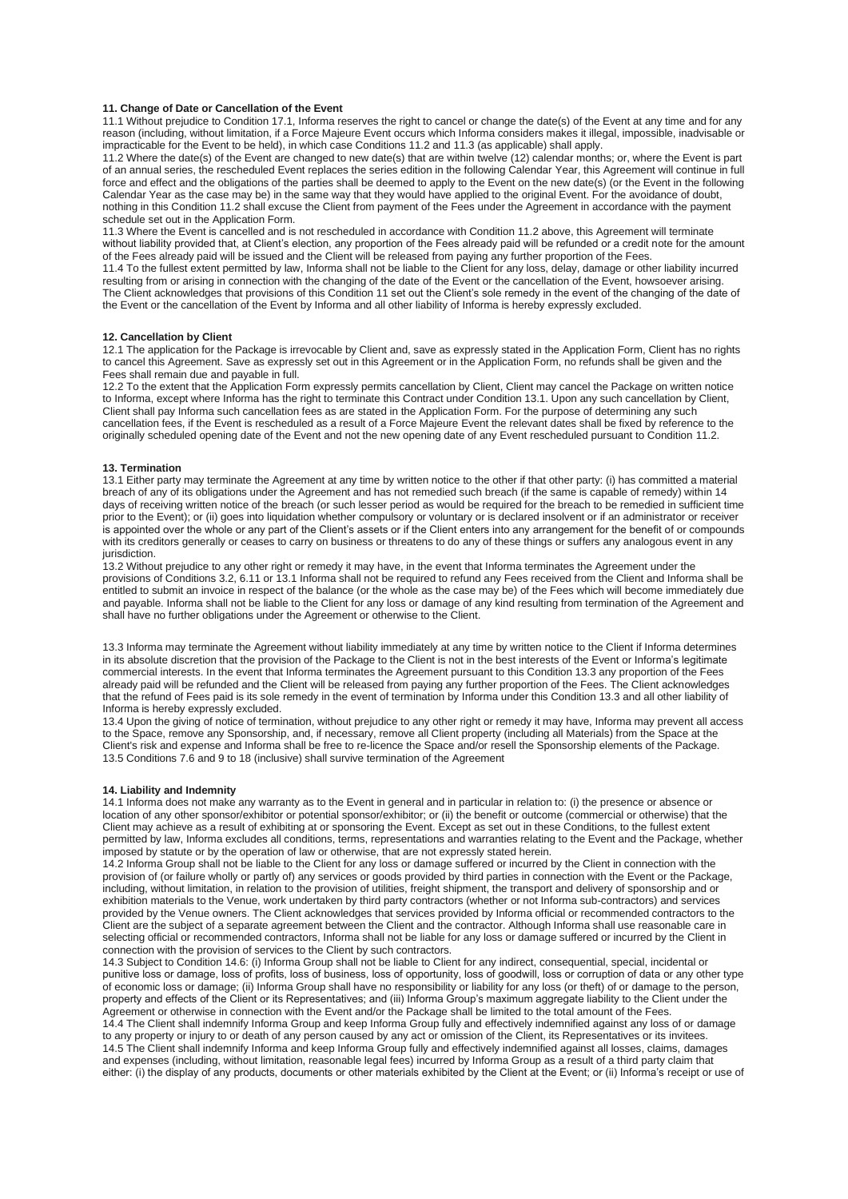### **11. Change of Date or Cancellation of the Event**

11.1 Without prejudice to Condition 17.1, Informa reserves the right to cancel or change the date(s) of the Event at any time and for any reason (including, without limitation, if a Force Majeure Event occurs which Informa considers makes it illegal, impossible, inadvisable or impracticable for the Event to be held), in which case Conditions 11.2 and 11.3 (as applicable) shall apply.

11.2 Where the date(s) of the Event are changed to new date(s) that are within twelve (12) calendar months; or, where the Event is part of an annual series, the rescheduled Event replaces the series edition in the following Calendar Year, this Agreement will continue in full force and effect and the obligations of the parties shall be deemed to apply to the Event on the new date(s) (or the Event in the following Calendar Year as the case may be) in the same way that they would have applied to the original Event. For the avoidance of doubt, nothing in this Condition 11.2 shall excuse the Client from payment of the Fees under the Agreement in accordance with the payment schedule set out in the Application Form.

11.3 Where the Event is cancelled and is not rescheduled in accordance with Condition 11.2 above, this Agreement will terminate without liability provided that, at Client's election, any proportion of the Fees already paid will be refunded or a credit note for the amount of the Fees already paid will be issued and the Client will be released from paying any further proportion of the Fees.

11.4 To the fullest extent permitted by law, Informa shall not be liable to the Client for any loss, delay, damage or other liability incurred resulting from or arising in connection with the changing of the date of the Event or the cancellation of the Event, howsoever arising. The Client acknowledges that provisions of this Condition 11 set out the Client's sole remedy in the event of the changing of the date of the Event or the cancellation of the Event by Informa and all other liability of Informa is hereby expressly excluded.

## **12. Cancellation by Client**

12.1 The application for the Package is irrevocable by Client and, save as expressly stated in the Application Form, Client has no rights to cancel this Agreement. Save as expressly set out in this Agreement or in the Application Form, no refunds shall be given and the Fees shall remain due and payable in full.

12.2 To the extent that the Application Form expressly permits cancellation by Client, Client may cancel the Package on written notice to Informa, except where Informa has the right to terminate this Contract under Condition 13.1. Upon any such cancellation by Client, Client shall pay Informa such cancellation fees as are stated in the Application Form. For the purpose of determining any such cancellation fees, if the Event is rescheduled as a result of a Force Majeure Event the relevant dates shall be fixed by reference to the originally scheduled opening date of the Event and not the new opening date of any Event rescheduled pursuant to Condition 11.2.

### **13. Termination**

13.1 Either party may terminate the Agreement at any time by written notice to the other if that other party: (i) has committed a material breach of any of its obligations under the Agreement and has not remedied such breach (if the same is capable of remedy) within 14 days of receiving written notice of the breach (or such lesser period as would be required for the breach to be remedied in sufficient time prior to the Event); or (ii) goes into liquidation whether compulsory or voluntary or is declared insolvent or if an administrator or receiver is appointed over the whole or any part of the Client's assets or if the Client enters into any arrangement for the benefit of or compounds with its creditors generally or ceases to carry on business or threatens to do any of these things or suffers any analogous event in any iurisdiction

13.2 Without prejudice to any other right or remedy it may have, in the event that Informa terminates the Agreement under the provisions of Conditions 3.2, 6.11 or 13.1 Informa shall not be required to refund any Fees received from the Client and Informa shall be entitled to submit an invoice in respect of the balance (or the whole as the case may be) of the Fees which will become immediately due and payable. Informa shall not be liable to the Client for any loss or damage of any kind resulting from termination of the Agreement and shall have no further obligations under the Agreement or otherwise to the Client.

13.3 Informa may terminate the Agreement without liability immediately at any time by written notice to the Client if Informa determines in its absolute discretion that the provision of the Package to the Client is not in the best interests of the Event or Informa's legitimate commercial interests. In the event that Informa terminates the Agreement pursuant to this Condition 13.3 any proportion of the Fees already paid will be refunded and the Client will be released from paying any further proportion of the Fees. The Client acknowledges that the refund of Fees paid is its sole remedy in the event of termination by Informa under this Condition 13.3 and all other liability of Informa is hereby expressly excluded.

13.4 Upon the giving of notice of termination, without prejudice to any other right or remedy it may have, Informa may prevent all access to the Space, remove any Sponsorship, and, if necessary, remove all Client property (including all Materials) from the Space at the Client's risk and expense and Informa shall be free to re-licence the Space and/or resell the Sponsorship elements of the Package. 13.5 Conditions 7.6 and 9 to 18 (inclusive) shall survive termination of the Agreement

## **14. Liability and Indemnity**

14.1 Informa does not make any warranty as to the Event in general and in particular in relation to: (i) the presence or absence or location of any other sponsor/exhibitor or potential sponsor/exhibitor; or (ii) the benefit or outcome (commercial or otherwise) that the Client may achieve as a result of exhibiting at or sponsoring the Event. Except as set out in these Conditions, to the fullest extent permitted by law, Informa excludes all conditions, terms, representations and warranties relating to the Event and the Package, whether imposed by statute or by the operation of law or otherwise, that are not expressly stated herein.

14.2 Informa Group shall not be liable to the Client for any loss or damage suffered or incurred by the Client in connection with the provision of (or failure wholly or partly of) any services or goods provided by third parties in connection with the Event or the Package, including, without limitation, in relation to the provision of utilities, freight shipment, the transport and delivery of sponsorship and or exhibition materials to the Venue, work undertaken by third party contractors (whether or not Informa sub-contractors) and services provided by the Venue owners. The Client acknowledges that services provided by Informa official or recommended contractors to the Client are the subject of a separate agreement between the Client and the contractor. Although Informa shall use reasonable care in selecting official or recommended contractors, Informa shall not be liable for any loss or damage suffered or incurred by the Client in connection with the provision of services to the Client by such contractors.

14.3 Subject to Condition 14.6: (i) Informa Group shall not be liable to Client for any indirect, consequential, special, incidental or punitive loss or damage, loss of profits, loss of business, loss of opportunity, loss of goodwill, loss or corruption of data or any other type of economic loss or damage; (ii) Informa Group shall have no responsibility or liability for any loss (or theft) of or damage to the person, property and effects of the Client or its Representatives; and (iii) Informa Group's maximum aggregate liability to the Client under the Agreement or otherwise in connection with the Event and/or the Package shall be limited to the total amount of the Fees. 14.4 The Client shall indemnify Informa Group and keep Informa Group fully and effectively indemnified against any loss of or damage to any property or injury to or death of any person caused by any act or omission of the Client, its Representatives or its invitees.

14.5 The Client shall indemnify Informa and keep Informa Group fully and effectively indemnified against all losses, claims, damages and expenses (including, without limitation, reasonable legal fees) incurred by Informa Group as a result of a third party claim that either: (i) the display of any products, documents or other materials exhibited by the Client at the Event; or (ii) Informa's receipt or use of